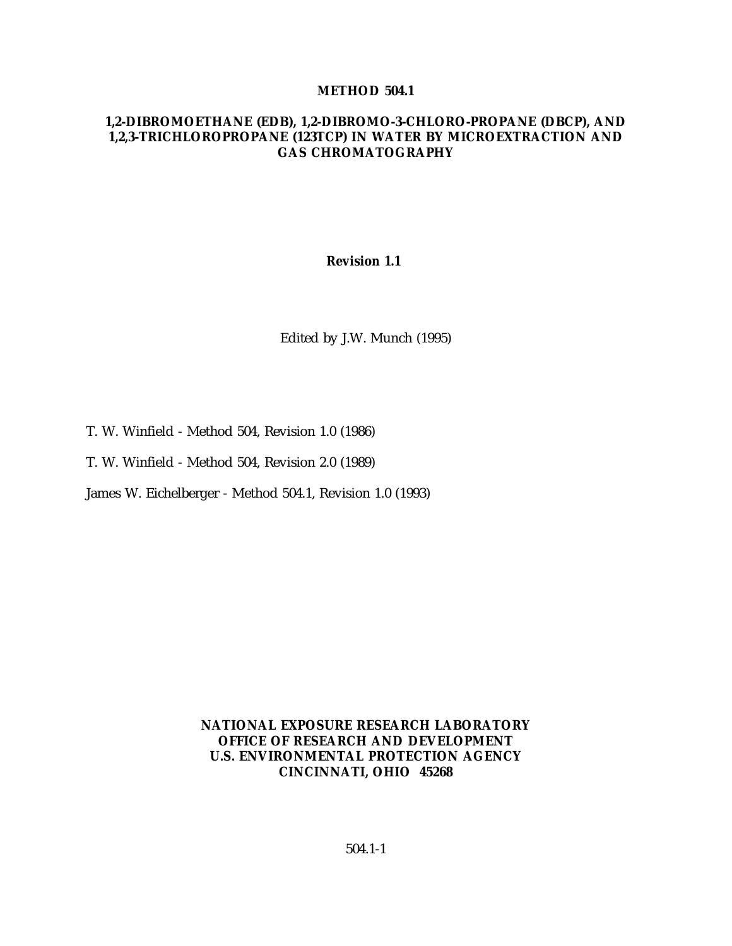#### **METHOD 504.1**

#### **1,2-DIBROMOETHANE (EDB), 1,2-DIBROMO-3-CHLORO-PROPANE (DBCP), AND 1,2,3-TRICHLOROPROPANE (123TCP) IN WATER BY MICROEXTRACTION AND GAS CHROMATOGRAPHY**

#### **Revision 1.1**

Edited by J.W. Munch (1995)

- T. W. Winfield Method 504, Revision 1.0 (1986)
- T. W. Winfield Method 504, Revision 2.0 (1989)

James W. Eichelberger - Method 504.1, Revision 1.0 (1993)

## **NATIONAL EXPOSURE RESEARCH LABORATORY OFFICE OF RESEARCH AND DEVELOPMENT U.S. ENVIRONMENTAL PROTECTION AGENCY CINCINNATI, OHIO 45268**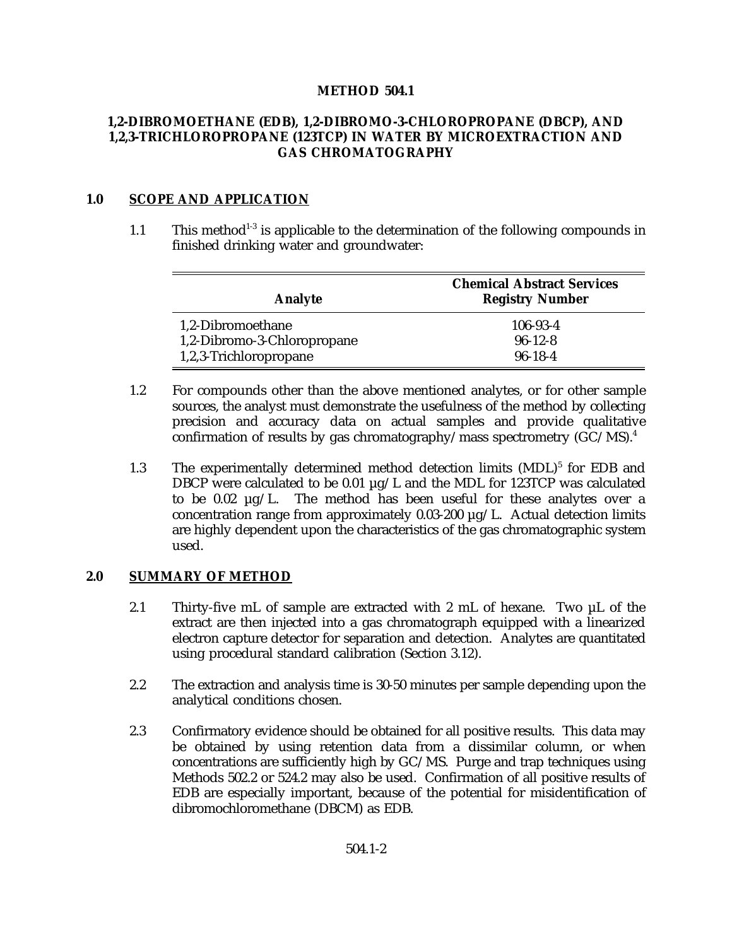## **METHOD 504.1**

## **1,2-DIBROMOETHANE (EDB), 1,2-DIBROMO-3-CHLOROPROPANE (DBCP), AND 1,2,3-TRICHLOROPROPANE (123TCP) IN WATER BY MICROEXTRACTION AND GAS CHROMATOGRAPHY**

## **1.0 SCOPE AND APPLICATION**

1.1 This method<sup>1-3</sup> is applicable to the determination of the following compounds in finished drinking water and groundwater:

| <b>Analyte</b>              | <b>Chemical Abstract Services</b><br><b>Registry Number</b> |
|-----------------------------|-------------------------------------------------------------|
| 1,2-Dibromoethane           | $106 - 93 - 4$                                              |
| 1,2-Dibromo-3-Chloropropane | $96-12-8$                                                   |
| 1,2,3-Trichloropropane      | $96-18-4$                                                   |

- 1.2 For compounds other than the above mentioned analytes, or for other sample sources, the analyst must demonstrate the usefulness of the method by collecting precision and accuracy data on actual samples and provide qualitative confirmation of results by gas chromatography/mass spectrometry  $(GC/MS)^4$ .
- 1.3 The experimentally determined method detection limits  $(MDL)^5$  for EDB and DBCP were calculated to be 0.01  $\mu$ g/L and the MDL for 123TCP was calculated to be 0.02 µg/L. The method has been useful for these analytes over a concentration range from approximately  $0.03-200 \mu g/L$ . Actual detection limits are highly dependent upon the characteristics of the gas chromatographic system used.

## **2.0 SUMMARY OF METHOD**

- 2.1 Thirty-five mL of sample are extracted with 2 mL of hexane. Two  $\mu$ L of the extract are then injected into a gas chromatograph equipped with a linearized electron capture detector for separation and detection. Analytes are quantitated using procedural standard calibration (Section 3.12).
- 2.2 The extraction and analysis time is 30-50 minutes per sample depending upon the analytical conditions chosen.
- 2.3 Confirmatory evidence should be obtained for all positive results. This data may be obtained by using retention data from a dissimilar column, or when concentrations are sufficiently high by GC/MS. Purge and trap techniques using Methods 502.2 or 524.2 may also be used. Confirmation of all positive results of EDB are especially important, because of the potential for misidentification of dibromochloromethane (DBCM) as EDB.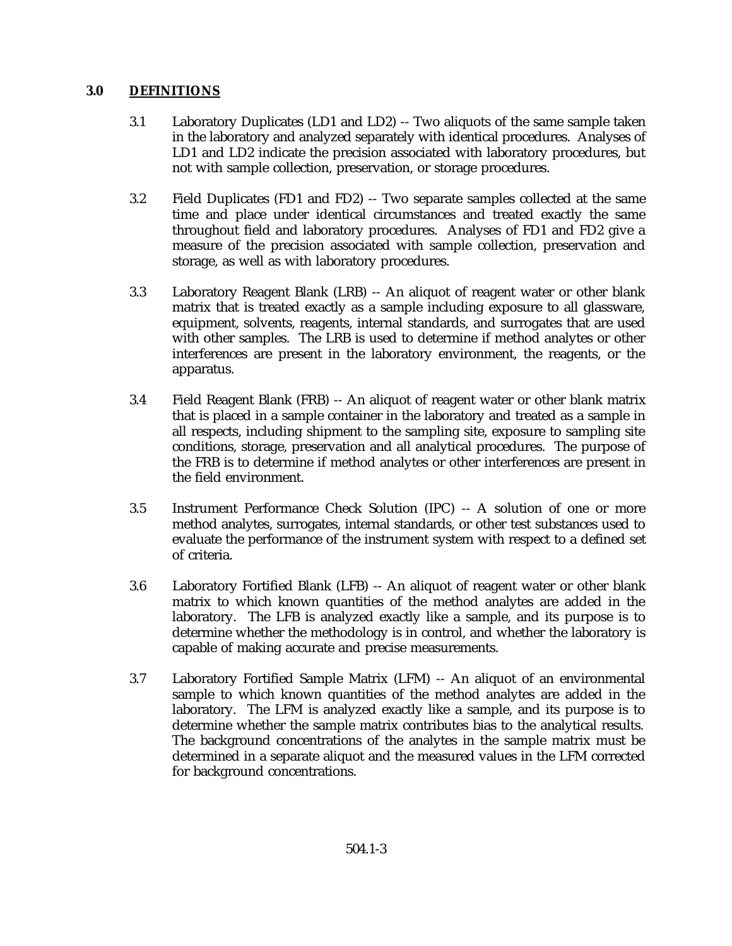# **3.0 DEFINITIONS**

- 3.1 Laboratory Duplicates (LD1 and LD2) -- Two aliquots of the same sample taken in the laboratory and analyzed separately with identical procedures. Analyses of LD1 and LD2 indicate the precision associated with laboratory procedures, but not with sample collection, preservation, or storage procedures.
- 3.2 Field Duplicates (FD1 and FD2) -- Two separate samples collected at the same time and place under identical circumstances and treated exactly the same throughout field and laboratory procedures. Analyses of FD1 and FD2 give a measure of the precision associated with sample collection, preservation and storage, as well as with laboratory procedures.
- 3.3 Laboratory Reagent Blank (LRB) -- An aliquot of reagent water or other blank matrix that is treated exactly as a sample including exposure to all glassware, equipment, solvents, reagents, internal standards, and surrogates that are used with other samples. The LRB is used to determine if method analytes or other interferences are present in the laboratory environment, the reagents, or the apparatus.
- 3.4 Field Reagent Blank (FRB) -- An aliquot of reagent water or other blank matrix that is placed in a sample container in the laboratory and treated as a sample in all respects, including shipment to the sampling site, exposure to sampling site conditions, storage, preservation and all analytical procedures. The purpose of the FRB is to determine if method analytes or other interferences are present in the field environment.
- 3.5 Instrument Performance Check Solution (IPC) -- A solution of one or more method analytes, surrogates, internal standards, or other test substances used to evaluate the performance of the instrument system with respect to a defined set of criteria.
- 3.6 Laboratory Fortified Blank (LFB) -- An aliquot of reagent water or other blank matrix to which known quantities of the method analytes are added in the laboratory. The LFB is analyzed exactly like a sample, and its purpose is to determine whether the methodology is in control, and whether the laboratory is capable of making accurate and precise measurements.
- 3.7 Laboratory Fortified Sample Matrix (LFM) -- An aliquot of an environmental sample to which known quantities of the method analytes are added in the laboratory. The LFM is analyzed exactly like a sample, and its purpose is to determine whether the sample matrix contributes bias to the analytical results. The background concentrations of the analytes in the sample matrix must be determined in a separate aliquot and the measured values in the LFM corrected for background concentrations.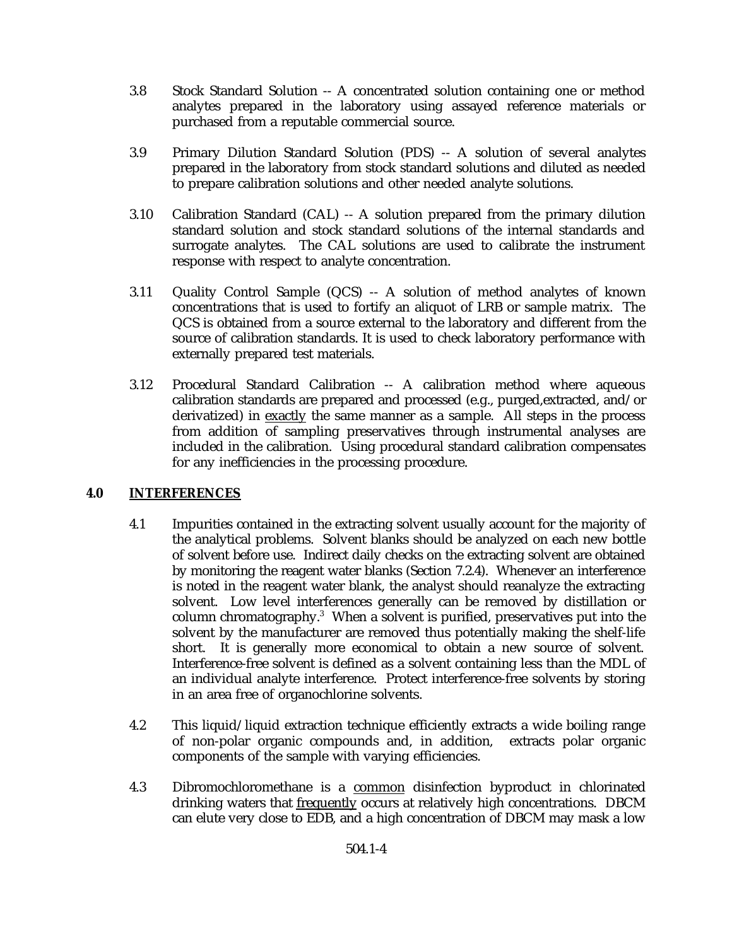- 3.8 Stock Standard Solution -- A concentrated solution containing one or method analytes prepared in the laboratory using assayed reference materials or purchased from a reputable commercial source.
- 3.9 Primary Dilution Standard Solution (PDS) -- A solution of several analytes prepared in the laboratory from stock standard solutions and diluted as needed to prepare calibration solutions and other needed analyte solutions.
- 3.10 Calibration Standard (CAL) -- A solution prepared from the primary dilution standard solution and stock standard solutions of the internal standards and surrogate analytes. The CAL solutions are used to calibrate the instrument response with respect to analyte concentration.
- 3.11 Quality Control Sample (QCS) -- A solution of method analytes of known concentrations that is used to fortify an aliquot of LRB or sample matrix. The QCS is obtained from a source external to the laboratory and different from the source of calibration standards. It is used to check laboratory performance with externally prepared test materials.
- 3.12 Procedural Standard Calibration -- A calibration method where aqueous calibration standards are prepared and processed (e.g., purged,extracted, and/or derivatized) in exactly the same manner as a sample. All steps in the process from addition of sampling preservatives through instrumental analyses are included in the calibration. Using procedural standard calibration compensates for any inefficiencies in the processing procedure.

## **4.0 INTERFERENCES**

- 4.1 Impurities contained in the extracting solvent usually account for the majority of the analytical problems. Solvent blanks should be analyzed on each new bottle of solvent before use. Indirect daily checks on the extracting solvent are obtained by monitoring the reagent water blanks (Section 7.2.4). Whenever an interference is noted in the reagent water blank, the analyst should reanalyze the extracting solvent. Low level interferences generally can be removed by distillation or column chromatography.<sup>3</sup> When a solvent is purified, preservatives put into the solvent by the manufacturer are removed thus potentially making the shelf-life short. It is generally more economical to obtain a new source of solvent. Interference-free solvent is defined as a solvent containing less than the MDL of an individual analyte interference. Protect interference-free solvents by storing in an area free of organochlorine solvents.
- 4.2 This liquid/liquid extraction technique efficiently extracts a wide boiling range of non-polar organic compounds and, in addition, extracts polar organic components of the sample with varying efficiencies.
- 4.3 Dibromochloromethane is a common disinfection byproduct in chlorinated drinking waters that frequently occurs at relatively high concentrations. DBCM can elute very close to EDB, and a high concentration of DBCM may mask a low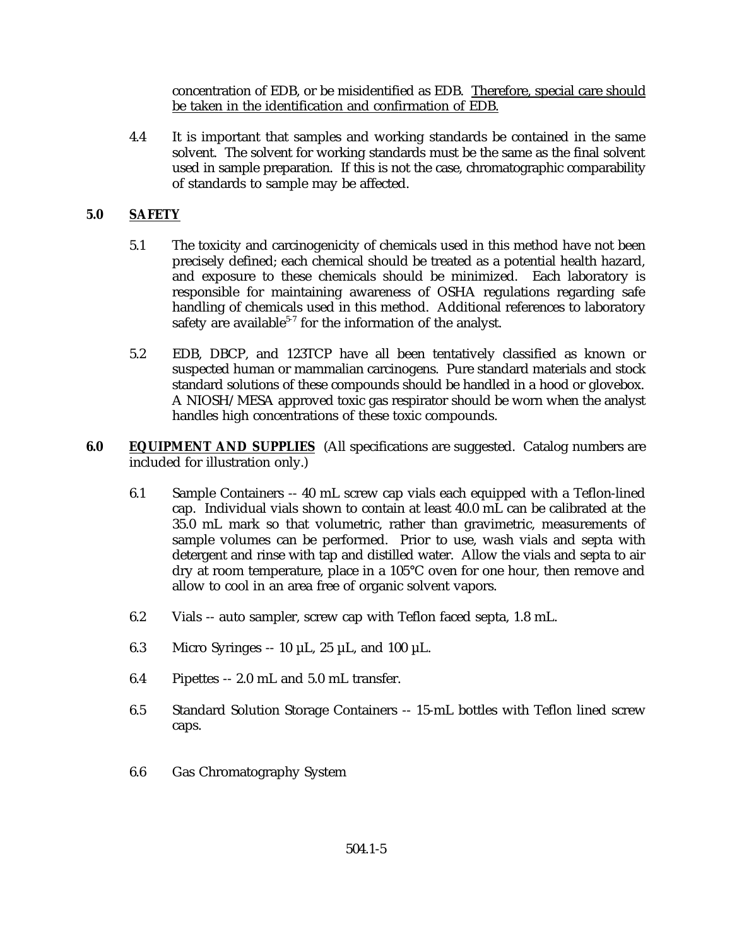concentration of EDB, or be misidentified as EDB. Therefore, special care should be taken in the identification and confirmation of EDB.

4.4 It is important that samples and working standards be contained in the same solvent. The solvent for working standards must be the same as the final solvent used in sample preparation. If this is not the case, chromatographic comparability of standards to sample may be affected.

# **5.0 SAFETY**

- 5.1 The toxicity and carcinogenicity of chemicals used in this method have not been precisely defined; each chemical should be treated as a potential health hazard, and exposure to these chemicals should be minimized. Each laboratory is responsible for maintaining awareness of OSHA regulations regarding safe handling of chemicals used in this method. Additional references to laboratory safety are available<sup>5-7</sup> for the information of the analyst.
- 5.2 EDB, DBCP, and 123TCP have all been tentatively classified as known or suspected human or mammalian carcinogens. Pure standard materials and stock standard solutions of these compounds should be handled in a hood or glovebox. A NIOSH/MESA approved toxic gas respirator should be worn when the analyst handles high concentrations of these toxic compounds.
- **6.0 EQUIPMENT AND SUPPLIES** (All specifications are suggested. Catalog numbers are included for illustration only.)
	- 6.1 Sample Containers -- 40 mL screw cap vials each equipped with a Teflon-lined cap. Individual vials shown to contain at least 40.0 mL can be calibrated at the 35.0 mL mark so that volumetric, rather than gravimetric, measurements of sample volumes can be performed. Prior to use, wash vials and septa with detergent and rinse with tap and distilled water. Allow the vials and septa to air dry at room temperature, place in a 105°C oven for one hour, then remove and allow to cool in an area free of organic solvent vapors.
	- 6.2 Vials -- auto sampler, screw cap with Teflon faced septa, 1.8 mL.
	- 6.3 Micro Syringes  $-10 \mu L$ , 25  $\mu L$ , and 100  $\mu L$ .
	- 6.4 Pipettes -- 2.0 mL and 5.0 mL transfer.
	- 6.5 Standard Solution Storage Containers -- 15-mL bottles with Teflon lined screw caps.
	- 6.6 Gas Chromatography System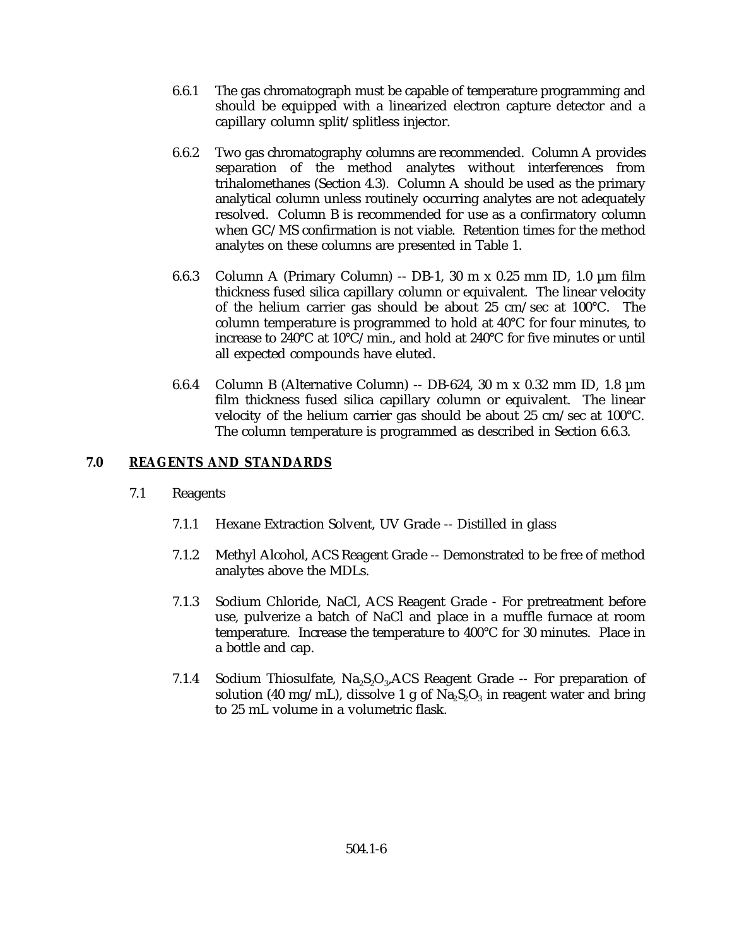- 6.6.1 The gas chromatograph must be capable of temperature programming and should be equipped with a linearized electron capture detector and a capillary column split/splitless injector.
- 6.6.2 Two gas chromatography columns are recommended. Column A provides separation of the method analytes without interferences from trihalomethanes (Section 4.3). Column A should be used as the primary analytical column unless routinely occurring analytes are not adequately resolved. Column B is recommended for use as a confirmatory column when GC/MS confirmation is not viable. Retention times for the method analytes on these columns are presented in Table 1.
- 6.6.3 Column A (Primary Column) -- DB-1, 30 m x 0.25 mm ID, 1.0 µm film thickness fused silica capillary column or equivalent. The linear velocity of the helium carrier gas should be about 25 cm/sec at 100°C. The column temperature is programmed to hold at 40°C for four minutes, to increase to 240°C at 10°C/min., and hold at 240°C for five minutes or until all expected compounds have eluted.
- 6.6.4 Column B (Alternative Column) -- DB-624, 30 m x 0.32 mm ID, 1.8 µm film thickness fused silica capillary column or equivalent. The linear velocity of the helium carrier gas should be about 25 cm/sec at 100°C. The column temperature is programmed as described in Section 6.6.3.

# **7.0 REAGENTS AND STANDARDS**

- 7.1 Reagents
	- 7.1.1 Hexane Extraction Solvent, UV Grade -- Distilled in glass
	- 7.1.2 Methyl Alcohol, ACS Reagent Grade -- Demonstrated to be free of method analytes above the MDLs.
	- 7.1.3 Sodium Chloride, NaCl, ACS Reagent Grade For pretreatment before use, pulverize a batch of NaCl and place in a muffle furnace at room temperature. Increase the temperature to 400°C for 30 minutes. Place in a bottle and cap.
	- 7.1.4 Sodium Thiosulfate,  $Na<sub>2</sub>S<sub>2</sub>O<sub>3</sub>$ , ACS Reagent Grade -- For preparation of solution (40 mg/mL), dissolve 1 g of  $\text{Na}_2\text{S}_2\text{O}_3$  in reagent water and bring to 25 mL volume in a volumetric flask.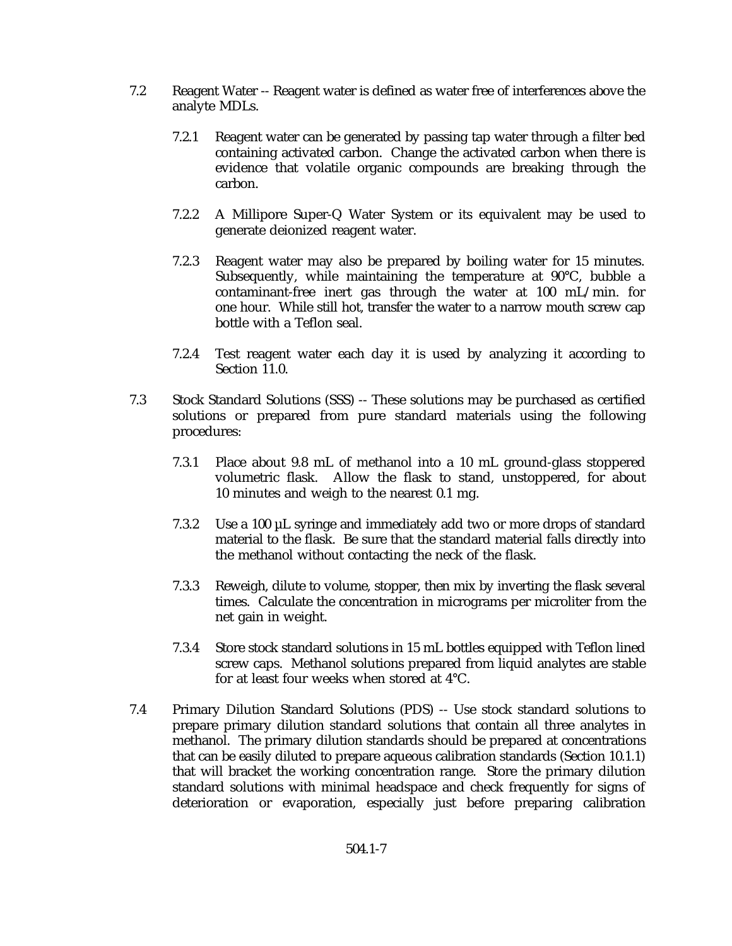- 7.2 Reagent Water -- Reagent water is defined as water free of interferences above the analyte MDLs.
	- 7.2.1 Reagent water can be generated by passing tap water through a filter bed containing activated carbon. Change the activated carbon when there is evidence that volatile organic compounds are breaking through the carbon.
	- 7.2.2 A Millipore Super-Q Water System or its equivalent may be used to generate deionized reagent water.
	- 7.2.3 Reagent water may also be prepared by boiling water for 15 minutes. Subsequently, while maintaining the temperature at 90°C, bubble a contaminant-free inert gas through the water at 100 mL/min. for one hour. While still hot, transfer the water to a narrow mouth screw cap bottle with a Teflon seal.
	- 7.2.4 Test reagent water each day it is used by analyzing it according to Section 11.0.
- 7.3 Stock Standard Solutions (SSS) -- These solutions may be purchased as certified solutions or prepared from pure standard materials using the following procedures:
	- 7.3.1 Place about 9.8 mL of methanol into a 10 mL ground-glass stoppered volumetric flask. Allow the flask to stand, unstoppered, for about 10 minutes and weigh to the nearest 0.1 mg.
	- 7.3.2 Use a 100 µL syringe and immediately add two or more drops of standard material to the flask. Be sure that the standard material falls directly into the methanol without contacting the neck of the flask.
	- 7.3.3 Reweigh, dilute to volume, stopper, then mix by inverting the flask several times. Calculate the concentration in micrograms per microliter from the net gain in weight.
	- 7.3.4 Store stock standard solutions in 15 mL bottles equipped with Teflon lined screw caps. Methanol solutions prepared from liquid analytes are stable for at least four weeks when stored at 4°C.
- 7.4 Primary Dilution Standard Solutions (PDS) -- Use stock standard solutions to prepare primary dilution standard solutions that contain all three analytes in methanol. The primary dilution standards should be prepared at concentrations that can be easily diluted to prepare aqueous calibration standards (Section 10.1.1) that will bracket the working concentration range. Store the primary dilution standard solutions with minimal headspace and check frequently for signs of deterioration or evaporation, especially just before preparing calibration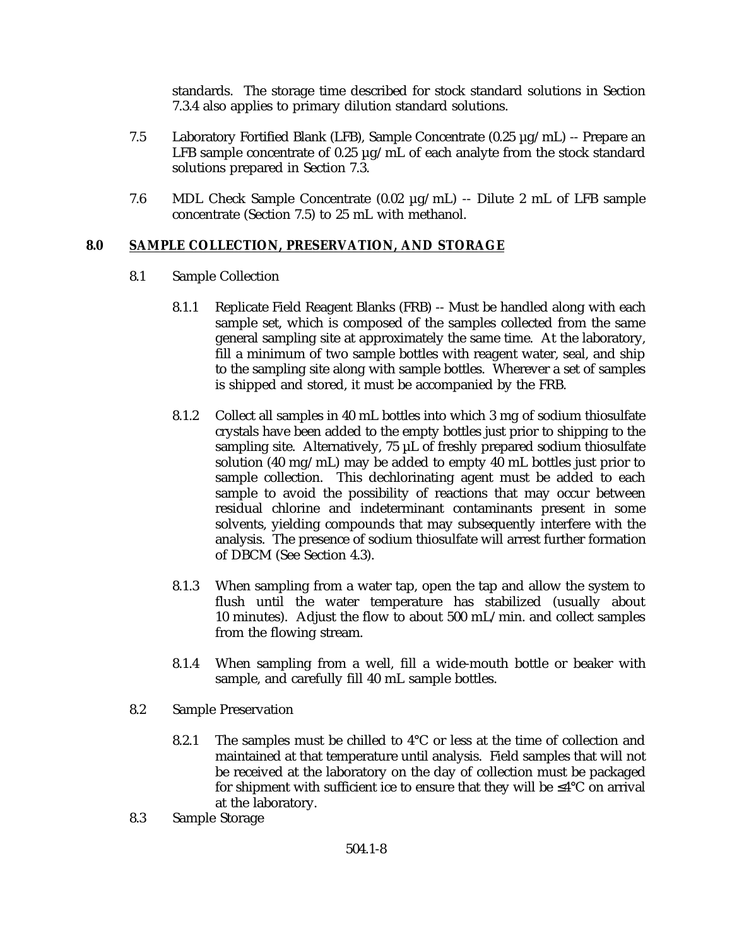standards. The storage time described for stock standard solutions in Section 7.3.4 also applies to primary dilution standard solutions.

- 7.5 Laboratory Fortified Blank (LFB), Sample Concentrate (0.25 µg/mL) -- Prepare an LFB sample concentrate of 0.25  $\mu$ g/mL of each analyte from the stock standard solutions prepared in Section 7.3.
- 7.6 MDL Check Sample Concentrate (0.02 µg/mL) -- Dilute 2 mL of LFB sample concentrate (Section 7.5) to 25 mL with methanol.

## **8.0 SAMPLE COLLECTION, PRESERVATION, AND STORAGE**

- 8.1 Sample Collection
	- 8.1.1 Replicate Field Reagent Blanks (FRB) -- Must be handled along with each sample set, which is composed of the samples collected from the same general sampling site at approximately the same time. At the laboratory, fill a minimum of two sample bottles with reagent water, seal, and ship to the sampling site along with sample bottles. Wherever a set of samples is shipped and stored, it must be accompanied by the FRB.
	- 8.1.2 Collect all samples in 40 mL bottles into which 3 mg of sodium thiosulfate crystals have been added to the empty bottles just prior to shipping to the sampling site. Alternatively,  $75 \mu L$  of freshly prepared sodium thiosulfate solution (40 mg/mL) may be added to empty 40 mL bottles just prior to sample collection. This dechlorinating agent must be added to each sample to avoid the possibility of reactions that may occur between residual chlorine and indeterminant contaminants present in some solvents, yielding compounds that may subsequently interfere with the analysis. The presence of sodium thiosulfate will arrest further formation of DBCM (See Section 4.3).
	- 8.1.3 When sampling from a water tap, open the tap and allow the system to flush until the water temperature has stabilized (usually about 10 minutes). Adjust the flow to about 500 mL/min. and collect samples from the flowing stream.
	- 8.1.4 When sampling from a well, fill a wide-mouth bottle or beaker with sample, and carefully fill 40 mL sample bottles.
- 8.2 Sample Preservation
	- 8.2.1 The samples must be chilled to  $4^{\circ}$ C or less at the time of collection and maintained at that temperature until analysis. Field samples that will not be received at the laboratory on the day of collection must be packaged for shipment with sufficient ice to ensure that they will be  $\leq 4^{\circ}C$  on arrival at the laboratory.
- 8.3 Sample Storage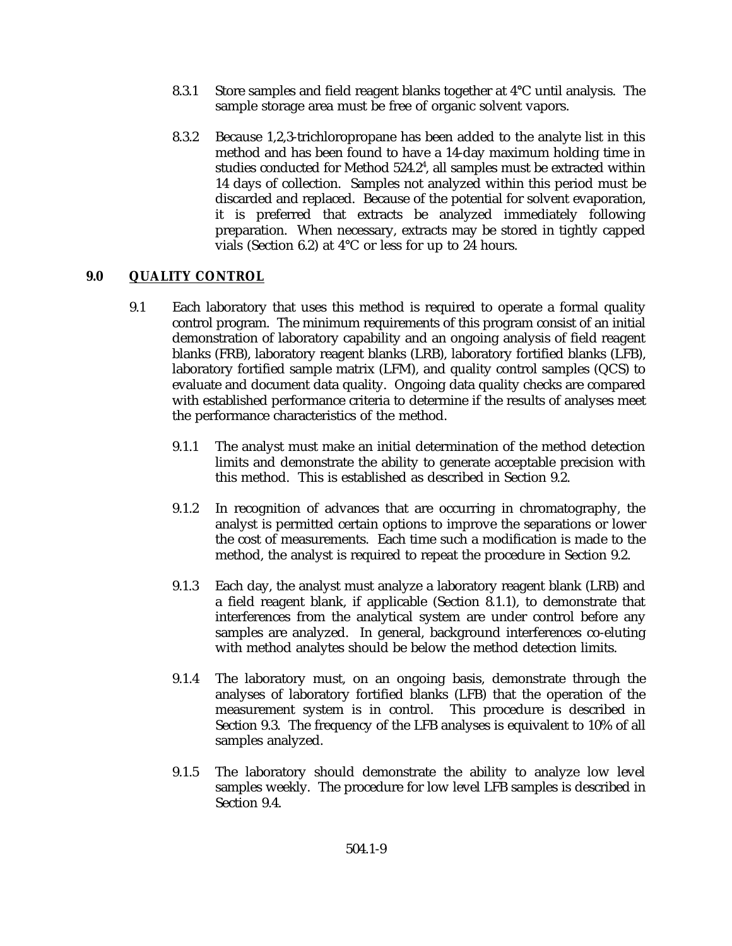- 8.3.1 Store samples and field reagent blanks together at 4°C until analysis. The sample storage area must be free of organic solvent vapors.
- 8.3.2 Because 1,2,3-trichloropropane has been added to the analyte list in this method and has been found to have a 14-day maximum holding time in studies conducted for Method  $524.2^4$ , all samples must be extracted within 14 days of collection. Samples not analyzed within this period must be discarded and replaced. Because of the potential for solvent evaporation, it is preferred that extracts be analyzed immediately following preparation. When necessary, extracts may be stored in tightly capped vials (Section 6.2) at 4°C or less for up to 24 hours.

## **9.0 QUALITY CONTROL**

- 9.1 Each laboratory that uses this method is required to operate a formal quality control program. The minimum requirements of this program consist of an initial demonstration of laboratory capability and an ongoing analysis of field reagent blanks (FRB), laboratory reagent blanks (LRB), laboratory fortified blanks (LFB), laboratory fortified sample matrix (LFM), and quality control samples (QCS) to evaluate and document data quality. Ongoing data quality checks are compared with established performance criteria to determine if the results of analyses meet the performance characteristics of the method.
	- 9.1.1 The analyst must make an initial determination of the method detection limits and demonstrate the ability to generate acceptable precision with this method. This is established as described in Section 9.2.
	- 9.1.2 In recognition of advances that are occurring in chromatography, the analyst is permitted certain options to improve the separations or lower the cost of measurements. Each time such a modification is made to the method, the analyst is required to repeat the procedure in Section 9.2.
	- 9.1.3 Each day, the analyst must analyze a laboratory reagent blank (LRB) and a field reagent blank, if applicable (Section 8.1.1), to demonstrate that interferences from the analytical system are under control before any samples are analyzed. In general, background interferences co-eluting with method analytes should be below the method detection limits.
	- 9.1.4 The laboratory must, on an ongoing basis, demonstrate through the analyses of laboratory fortified blanks (LFB) that the operation of the measurement system is in control. This procedure is described in Section 9.3. The frequency of the LFB analyses is equivalent to 10% of all samples analyzed.
	- 9.1.5 The laboratory should demonstrate the ability to analyze low level samples weekly. The procedure for low level LFB samples is described in Section 9.4.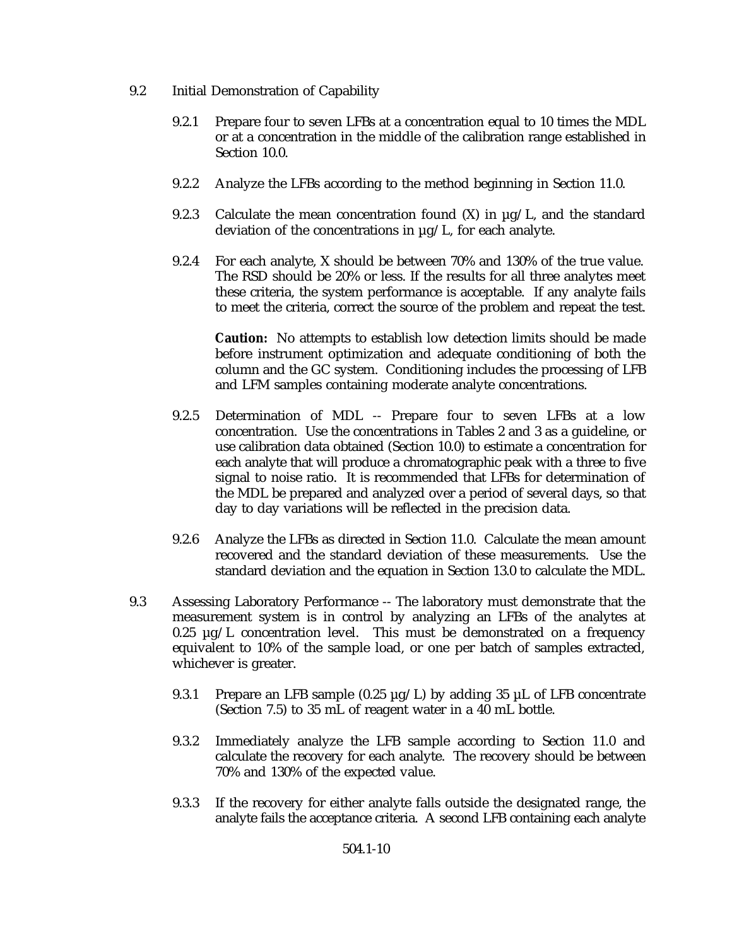- 9.2 Initial Demonstration of Capability
	- 9.2.1 Prepare four to seven LFBs at a concentration equal to 10 times the MDL or at a concentration in the middle of the calibration range established in Section 10.0.
	- 9.2.2 Analyze the LFBs according to the method beginning in Section 11.0.
	- 9.2.3 Calculate the mean concentration found  $(X)$  in  $\mu$ g/L, and the standard deviation of the concentrations in µg/L, for each analyte.
	- 9.2.4 For each analyte, X should be between 70% and 130% of the true value. The RSD should be 20% or less. If the results for all three analytes meet these criteria, the system performance is acceptable. If any analyte fails to meet the criteria, correct the source of the problem and repeat the test.

**Caution:** No attempts to establish low detection limits should be made before instrument optimization and adequate conditioning of both the column and the GC system. Conditioning includes the processing of LFB and LFM samples containing moderate analyte concentrations.

- 9.2.5 Determination of MDL -- Prepare four to seven LFBs at a low concentration. Use the concentrations in Tables 2 and 3 as a guideline, or use calibration data obtained (Section 10.0) to estimate a concentration for each analyte that will produce a chromatographic peak with a three to five signal to noise ratio. It is recommended that LFBs for determination of the MDL be prepared and analyzed over a period of several days, so that day to day variations will be reflected in the precision data.
- 9.2.6 Analyze the LFBs as directed in Section 11.0. Calculate the mean amount recovered and the standard deviation of these measurements. Use the standard deviation and the equation in Section 13.0 to calculate the MDL.
- 9.3 Assessing Laboratory Performance -- The laboratory must demonstrate that the measurement system is in control by analyzing an LFBs of the analytes at  $0.25 \mu g/L$  concentration level. This must be demonstrated on a frequency equivalent to 10% of the sample load, or one per batch of samples extracted, whichever is greater.
	- 9.3.1 Prepare an LFB sample (0.25  $\mu$ g/L) by adding 35  $\mu$ L of LFB concentrate (Section 7.5) to 35 mL of reagent water in a 40 mL bottle.
	- 9.3.2 Immediately analyze the LFB sample according to Section 11.0 and calculate the recovery for each analyte. The recovery should be between 70% and 130% of the expected value.
	- 9.3.3 If the recovery for either analyte falls outside the designated range, the analyte fails the acceptance criteria. A second LFB containing each analyte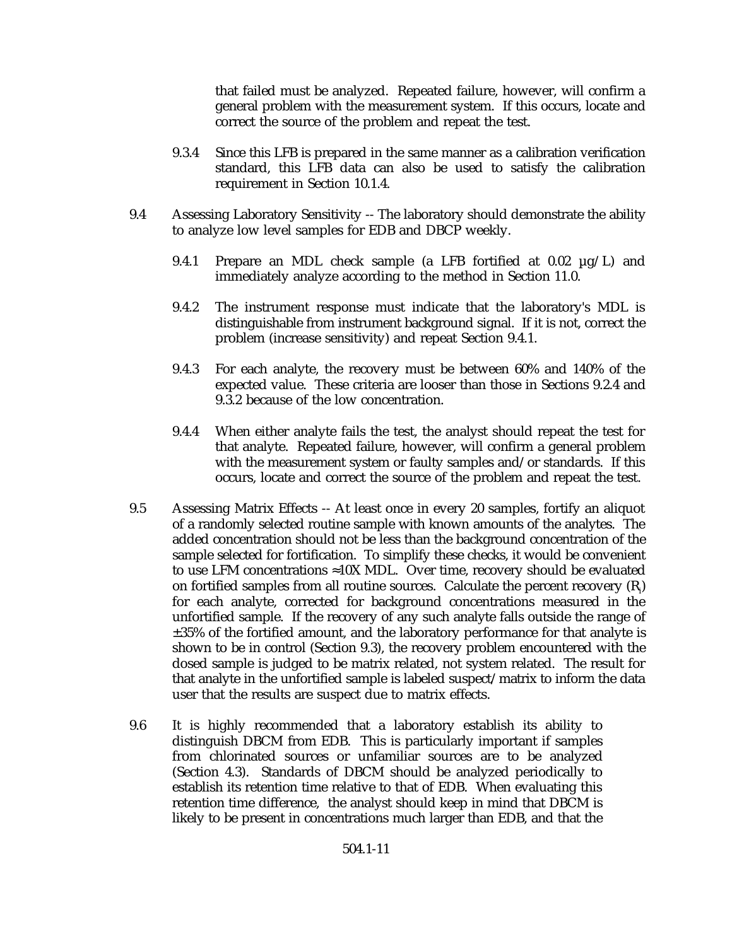that failed must be analyzed. Repeated failure, however, will confirm a general problem with the measurement system. If this occurs, locate and correct the source of the problem and repeat the test.

- 9.3.4 Since this LFB is prepared in the same manner as a calibration verification standard, this LFB data can also be used to satisfy the calibration requirement in Section 10.1.4.
- 9.4 Assessing Laboratory Sensitivity -- The laboratory should demonstrate the ability to analyze low level samples for EDB and DBCP weekly.
	- 9.4.1 Prepare an MDL check sample (a LFB fortified at  $0.02 \mu g/L$ ) and immediately analyze according to the method in Section 11.0.
	- 9.4.2 The instrument response must indicate that the laboratory's MDL is distinguishable from instrument background signal. If it is not, correct the problem (increase sensitivity) and repeat Section 9.4.1.
	- 9.4.3 For each analyte, the recovery must be between 60% and 140% of the expected value. These criteria are looser than those in Sections 9.2.4 and 9.3.2 because of the low concentration.
	- 9.4.4 When either analyte fails the test, the analyst should repeat the test for that analyte. Repeated failure, however, will confirm a general problem with the measurement system or faulty samples and/or standards. If this occurs, locate and correct the source of the problem and repeat the test.
- 9.5 Assessing Matrix Effects -- At least once in every 20 samples, fortify an aliquot of a randomly selected routine sample with known amounts of the analytes. The added concentration should not be less than the background concentration of the sample selected for fortification. To simplify these checks, it would be convenient to use LFM concentrations  $\approx$ 10X MDL. Over time, recovery should be evaluated on fortified samples from all routine sources. Calculate the percent recovery  $(R_i)$ for each analyte, corrected for background concentrations measured in the unfortified sample. If the recovery of any such analyte falls outside the range of ±35% of the fortified amount, and the laboratory performance for that analyte is shown to be in control (Section 9.3), the recovery problem encountered with the dosed sample is judged to be matrix related, not system related. The result for that analyte in the unfortified sample is labeled suspect/matrix to inform the data user that the results are suspect due to matrix effects.
- 9.6 It is highly recommended that a laboratory establish its ability to distinguish DBCM from EDB. This is particularly important if samples from chlorinated sources or unfamiliar sources are to be analyzed (Section 4.3). Standards of DBCM should be analyzed periodically to establish its retention time relative to that of EDB. When evaluating this retention time difference, the analyst should keep in mind that DBCM is likely to be present in concentrations much larger than EDB, and that the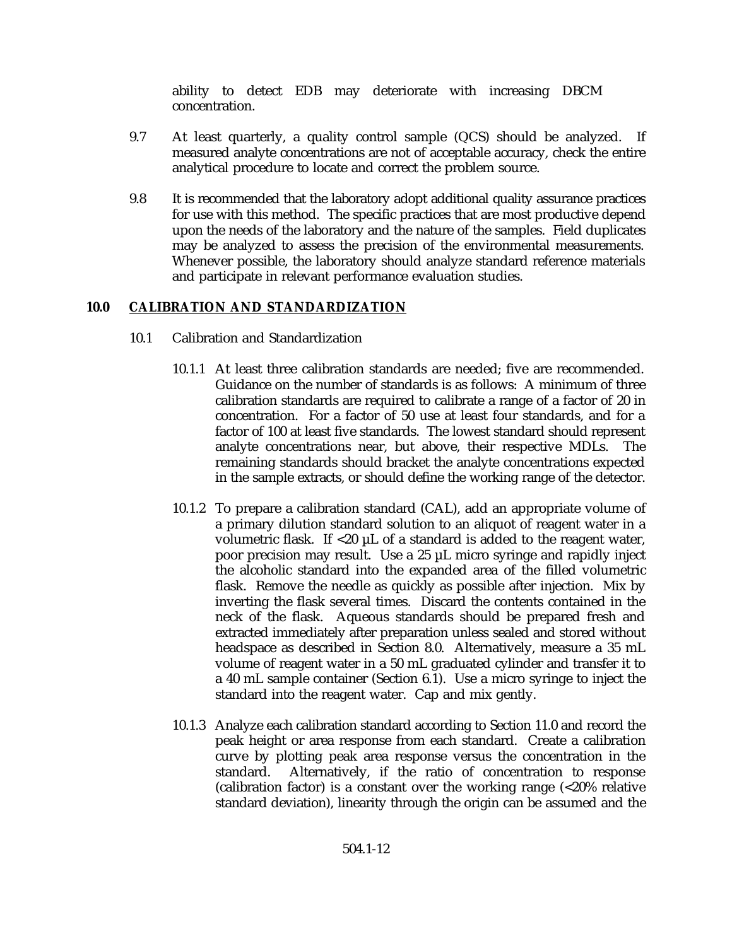ability to detect EDB may deteriorate with increasing DBCM concentration.

- 9.7 At least quarterly, a quality control sample (QCS) should be analyzed. If measured analyte concentrations are not of acceptable accuracy, check the entire analytical procedure to locate and correct the problem source.
- 9.8 It is recommended that the laboratory adopt additional quality assurance practices for use with this method. The specific practices that are most productive depend upon the needs of the laboratory and the nature of the samples. Field duplicates may be analyzed to assess the precision of the environmental measurements. Whenever possible, the laboratory should analyze standard reference materials and participate in relevant performance evaluation studies.

# **10.0 CALIBRATION AND STANDARDIZATION**

- 10.1 Calibration and Standardization
	- 10.1.1 At least three calibration standards are needed; five are recommended. Guidance on the number of standards is as follows: A minimum of three calibration standards are required to calibrate a range of a factor of 20 in concentration. For a factor of 50 use at least four standards, and for a factor of 100 at least five standards. The lowest standard should represent analyte concentrations near, but above, their respective MDLs. The remaining standards should bracket the analyte concentrations expected in the sample extracts, or should define the working range of the detector.
	- 10.1.2 To prepare a calibration standard (CAL), add an appropriate volume of a primary dilution standard solution to an aliquot of reagent water in a volumetric flask. If <20 µL of a standard is added to the reagent water, poor precision may result. Use a 25 µL micro syringe and rapidly inject the alcoholic standard into the expanded area of the filled volumetric flask. Remove the needle as quickly as possible after injection. Mix by inverting the flask several times. Discard the contents contained in the neck of the flask. Aqueous standards should be prepared fresh and extracted immediately after preparation unless sealed and stored without headspace as described in Section 8.0. Alternatively, measure a 35 mL volume of reagent water in a 50 mL graduated cylinder and transfer it to a 40 mL sample container (Section 6.1). Use a micro syringe to inject the standard into the reagent water. Cap and mix gently.
	- 10.1.3 Analyze each calibration standard according to Section 11.0 and record the peak height or area response from each standard. Create a calibration curve by plotting peak area response versus the concentration in the standard. Alternatively, if the ratio of concentration to response (calibration factor) is a constant over the working range (<20% relative standard deviation), linearity through the origin can be assumed and the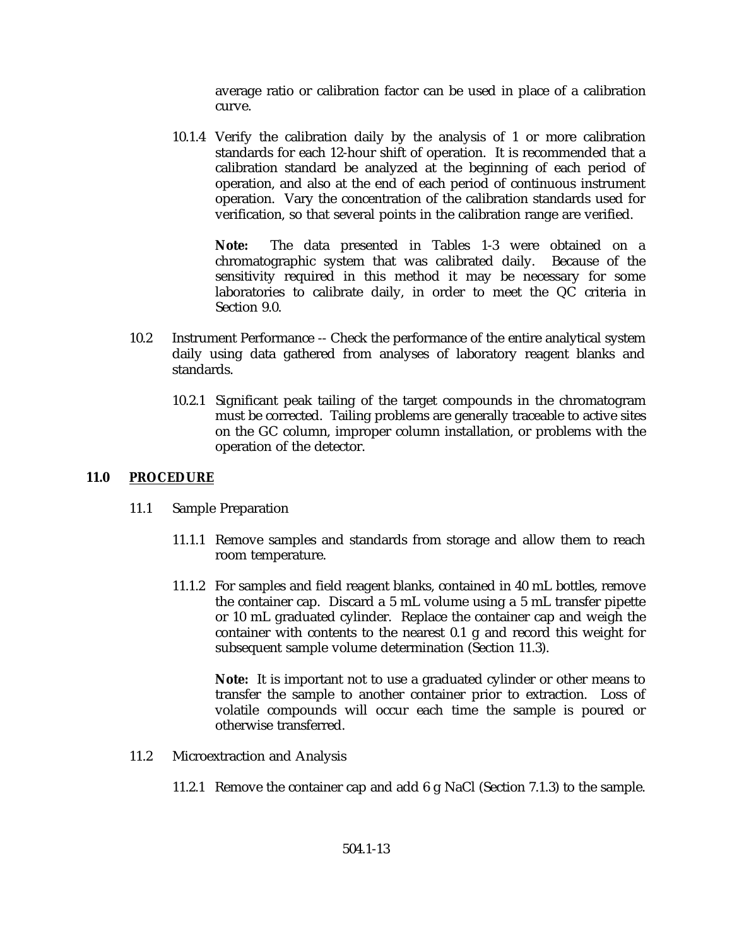average ratio or calibration factor can be used in place of a calibration curve.

10.1.4 Verify the calibration daily by the analysis of 1 or more calibration standards for each 12-hour shift of operation. It is recommended that a calibration standard be analyzed at the beginning of each period of operation, and also at the end of each period of continuous instrument operation. Vary the concentration of the calibration standards used for verification, so that several points in the calibration range are verified.

**Note:** The data presented in Tables 1-3 were obtained on a chromatographic system that was calibrated daily. Because of the sensitivity required in this method it may be necessary for some laboratories to calibrate daily, in order to meet the QC criteria in Section 9.0.

- 10.2 Instrument Performance -- Check the performance of the entire analytical system daily using data gathered from analyses of laboratory reagent blanks and standards.
	- 10.2.1 Significant peak tailing of the target compounds in the chromatogram must be corrected. Tailing problems are generally traceable to active sites on the GC column, improper column installation, or problems with the operation of the detector.

## **11.0 PROCEDURE**

- 11.1 Sample Preparation
	- 11.1.1 Remove samples and standards from storage and allow them to reach room temperature.
	- 11.1.2 For samples and field reagent blanks, contained in 40 mL bottles, remove the container cap. Discard a 5 mL volume using a 5 mL transfer pipette or 10 mL graduated cylinder. Replace the container cap and weigh the container with contents to the nearest 0.1 g and record this weight for subsequent sample volume determination (Section 11.3).

**Note:** It is important not to use a graduated cylinder or other means to transfer the sample to another container prior to extraction. Loss of volatile compounds will occur each time the sample is poured or otherwise transferred.

- 11.2 Microextraction and Analysis
	- 11.2.1 Remove the container cap and add 6 g NaCl (Section 7.1.3) to the sample.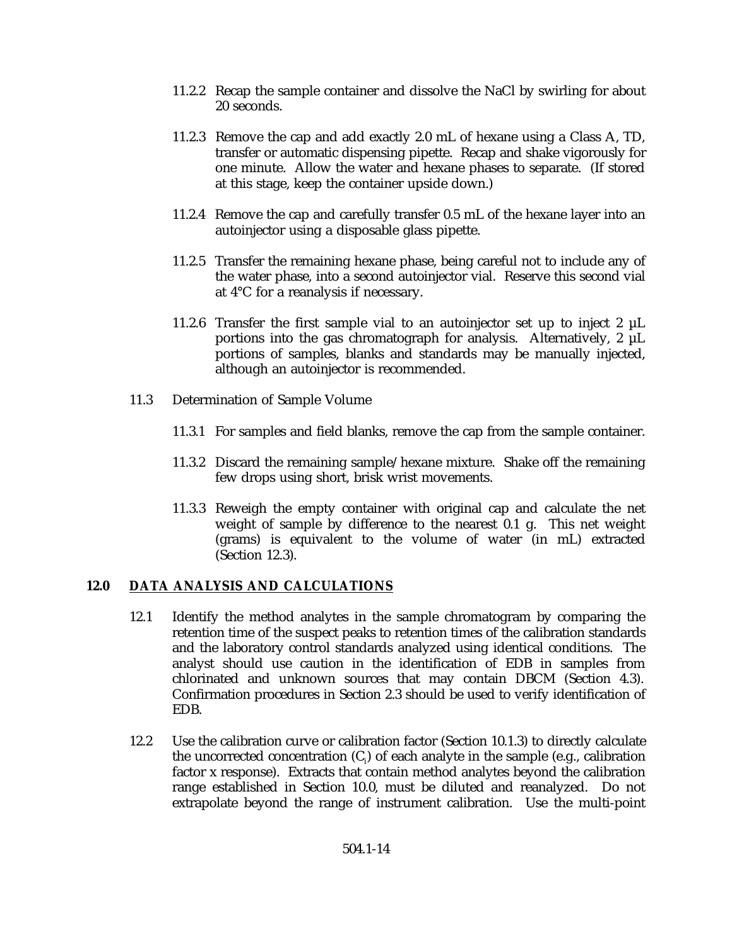- 11.2.2 Recap the sample container and dissolve the NaCl by swirling for about 20 seconds.
- 11.2.3 Remove the cap and add exactly 2.0 mL of hexane using a Class A, TD, transfer or automatic dispensing pipette. Recap and shake vigorously for one minute. Allow the water and hexane phases to separate. (If stored at this stage, keep the container upside down.)
- 11.2.4 Remove the cap and carefully transfer 0.5 mL of the hexane layer into an autoinjector using a disposable glass pipette.
- 11.2.5 Transfer the remaining hexane phase, being careful not to include any of the water phase, into a second autoinjector vial. Reserve this second vial at 4°C for a reanalysis if necessary.
- 11.2.6 Transfer the first sample vial to an autoinjector set up to inject  $2 \mu L$ portions into the gas chromatograph for analysis. Alternatively, 2 µL portions of samples, blanks and standards may be manually injected, although an autoinjector is recommended.
- 11.3 Determination of Sample Volume
	- 11.3.1 For samples and field blanks, remove the cap from the sample container.
	- 11.3.2 Discard the remaining sample/hexane mixture. Shake off the remaining few drops using short, brisk wrist movements.
	- 11.3.3 Reweigh the empty container with original cap and calculate the net weight of sample by difference to the nearest 0.1 g. This net weight (grams) is equivalent to the volume of water (in mL) extracted (Section 12.3).

# **12.0 DATA ANALYSIS AND CALCULATIONS**

- 12.1 Identify the method analytes in the sample chromatogram by comparing the retention time of the suspect peaks to retention times of the calibration standards and the laboratory control standards analyzed using identical conditions. The analyst should use caution in the identification of EDB in samples from chlorinated and unknown sources that may contain DBCM (Section 4.3). Confirmation procedures in Section 2.3 should be used to verify identification of EDB.
- 12.2 Use the calibration curve or calibration factor (Section 10.1.3) to directly calculate the uncorrected concentration  $(C_i)$  of each analyte in the sample (e.g., calibration factor x response). Extracts that contain method analytes beyond the calibration range established in Section 10.0, must be diluted and reanalyzed. Do not extrapolate beyond the range of instrument calibration. Use the multi-point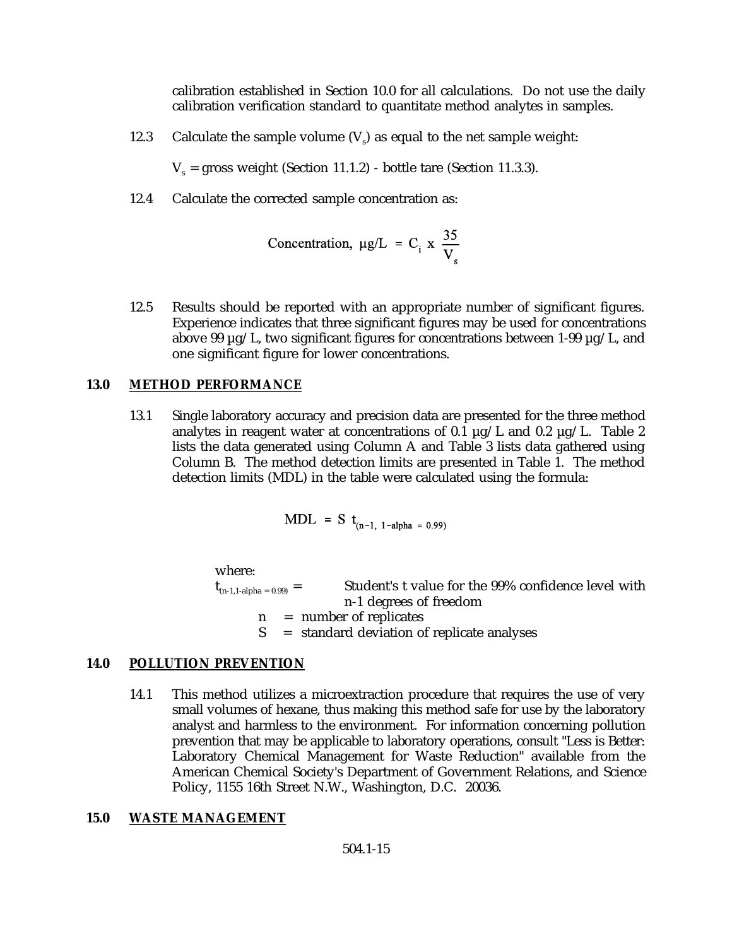calibration established in Section 10.0 for all calculations. Do not use the daily calibration verification standard to quantitate method analytes in samples.

12.3 Calculate the sample volume  $(V)$  as equal to the net sample weight:

 $V_s$  = gross weight (Section 11.1.2) - bottle tare (Section 11.3.3).

12.4 Calculate the corrected sample concentration as:

Concentration, 
$$
\mu g/L = C_i \times \frac{35}{V_s}
$$

12.5 Results should be reported with an appropriate number of significant figures. Experience indicates that three significant figures may be used for concentrations above 99  $\mu$ g/L, two significant figures for concentrations between 1-99  $\mu$ g/L, and one significant figure for lower concentrations.

## **13.0 METHOD PERFORMANCE**

13.1 Single laboratory accuracy and precision data are presented for the three method analytes in reagent water at concentrations of 0.1  $\mu$ g/L and 0.2  $\mu$ g/L. Table 2 lists the data generated using Column A and Table 3 lists data gathered using Column B. The method detection limits are presented in Table 1. The method detection limits (MDL) in the table were calculated using the formula:

$$
MDL = S t_{(n-1, 1-alpha = 0.99)}
$$

where:

 $t_{(n-1,1-\alpha)ph\alpha = 0.99)}$  = Student's t value for the 99% confidence level with n-1 degrees of freedom  $n =$  number of replicates<br> $S =$  standard deviation of

 $=$  standard deviation of replicate analyses

## **14.0 POLLUTION PREVENTION**

14.1 This method utilizes a microextraction procedure that requires the use of very small volumes of hexane, thus making this method safe for use by the laboratory analyst and harmless to the environment. For information concerning pollution prevention that may be applicable to laboratory operations, consult "Less is Better: Laboratory Chemical Management for Waste Reduction" available from the American Chemical Society's Department of Government Relations, and Science Policy, 1155 16th Street N.W., Washington, D.C. 20036.

#### **15.0 WASTE MANAGEMENT**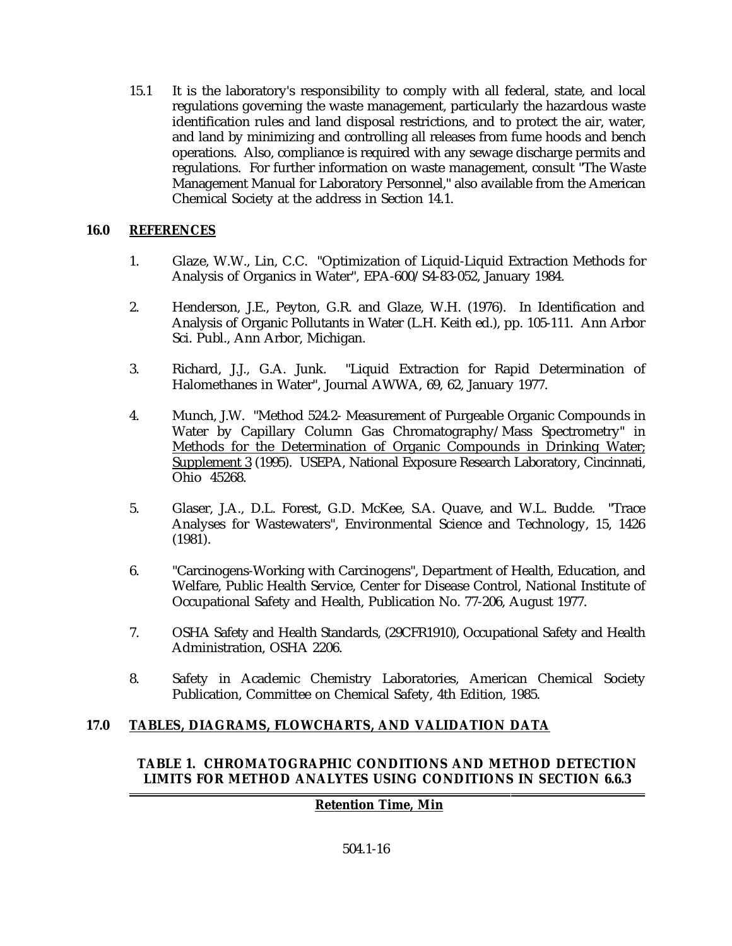15.1 It is the laboratory's responsibility to comply with all federal, state, and local regulations governing the waste management, particularly the hazardous waste identification rules and land disposal restrictions, and to protect the air, water, and land by minimizing and controlling all releases from fume hoods and bench operations. Also, compliance is required with any sewage discharge permits and regulations. For further information on waste management, consult "The Waste Management Manual for Laboratory Personnel," also available from the American Chemical Society at the address in Section 14.1.

# **16.0 REFERENCES**

- 1. Glaze, W.W., Lin, C.C. "Optimization of Liquid-Liquid Extraction Methods for Analysis of Organics in Water", EPA-600/S4-83-052, January 1984.
- 2. Henderson, J.E., Peyton, G.R. and Glaze, W.H. (1976). In Identification and Analysis of Organic Pollutants in Water (L.H. Keith ed.), pp. 105-111. Ann Arbor Sci. Publ., Ann Arbor, Michigan.
- 3. Richard, J.J., G.A. Junk. "Liquid Extraction for Rapid Determination of Halomethanes in Water", Journal AWWA, 69, 62, January 1977.
- 4. Munch, J.W. "Method 524.2- Measurement of Purgeable Organic Compounds in Water by Capillary Column Gas Chromatography/Mass Spectrometry" in Methods for the Determination of Organic Compounds in Drinking Water; Supplement 3 (1995). USEPA, National Exposure Research Laboratory, Cincinnati, Ohio 45268.
- 5. Glaser, J.A., D.L. Forest, G.D. McKee, S.A. Quave, and W.L. Budde. "Trace Analyses for Wastewaters", Environmental Science and Technology, 15, 1426 (1981).
- 6. "Carcinogens-Working with Carcinogens", Department of Health, Education, and Welfare, Public Health Service, Center for Disease Control, National Institute of Occupational Safety and Health, Publication No. 77-206, August 1977.
- 7. OSHA Safety and Health Standards, (29CFR1910), Occupational Safety and Health Administration, OSHA 2206.
- 8. Safety in Academic Chemistry Laboratories, American Chemical Society Publication, Committee on Chemical Safety, 4th Edition, 1985.

# **17.0 TABLES, DIAGRAMS, FLOWCHARTS, AND VALIDATION DATA**

## **TABLE 1. CHROMATOGRAPHIC CONDITIONS AND METHOD DETECTION LIMITS FOR METHOD ANALYTES USING CONDITIONS IN SECTION 6.6.3**

## **Retention Time, Min**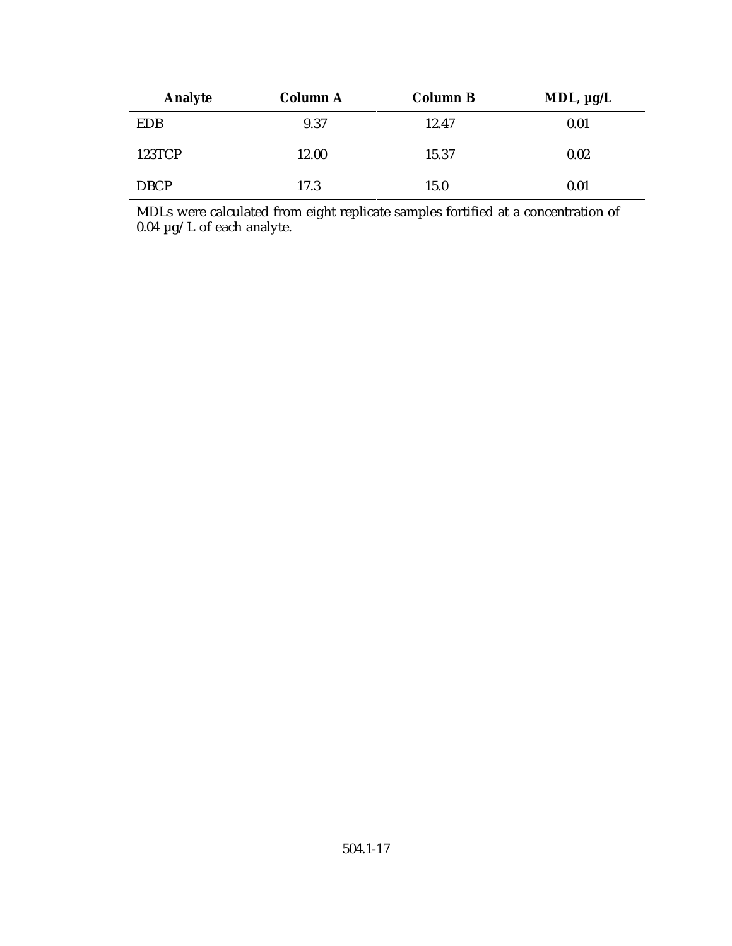| <b>Analyte</b> | <b>Column A</b> | <b>Column B</b> | MDL, $\mu g/L$ |
|----------------|-----------------|-----------------|----------------|
| <b>EDB</b>     | 9.37            | 12.47           | 0.01           |
| <b>123TCP</b>  | 12.00           | 15.37           | 0.02           |
| <b>DBCP</b>    | 17.3            | 15.0            | 0.01           |

MDLs were calculated from eight replicate samples fortified at a concentration of 0.04 µg/L of each analyte.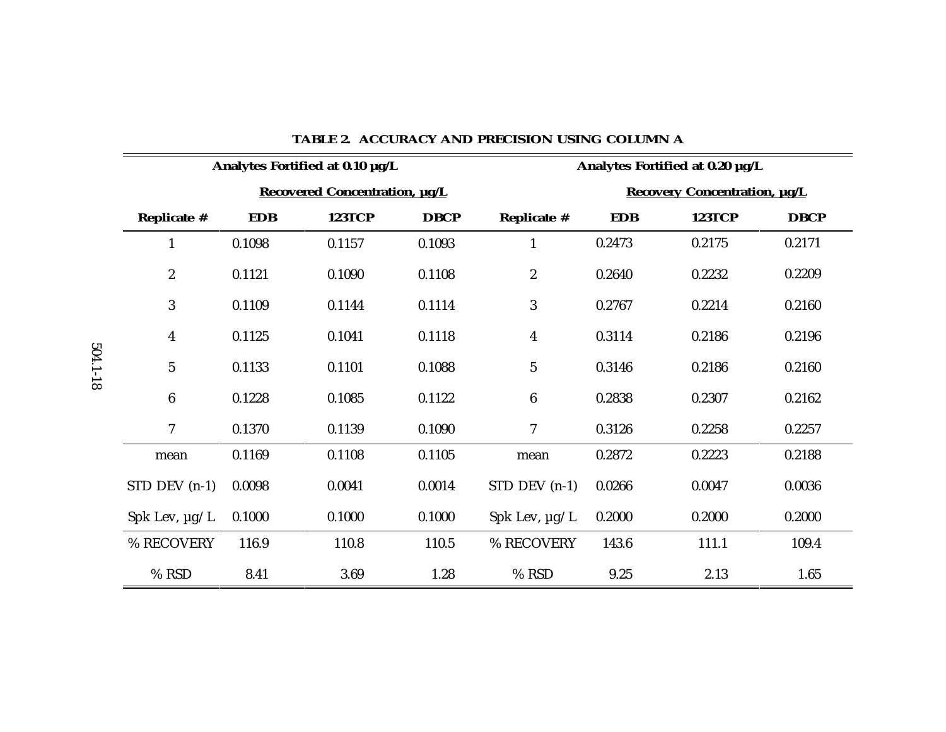| Analytes Fortified at 0.10 µg/L |            |               |             | Analytes Fortified at 0.20 µg/L |            |               |             |
|---------------------------------|------------|---------------|-------------|---------------------------------|------------|---------------|-------------|
| Recovered Concentration, µg/L   |            |               |             | Recovery Concentration, µg/L    |            |               |             |
| Replicate #                     | <b>EDB</b> | <b>123TCP</b> | <b>DBCP</b> | Replicate #                     | <b>EDB</b> | <b>123TCP</b> | <b>DBCP</b> |
| $\mathbf{1}$                    | 0.1098     | 0.1157        | 0.1093      | $\mathbf{1}$                    | 0.2473     | 0.2175        | 0.2171      |
| $\boldsymbol{2}$                | 0.1121     | 0.1090        | 0.1108      | $\boldsymbol{2}$                | 0.2640     | 0.2232        | 0.2209      |
| 3                               | 0.1109     | 0.1144        | 0.1114      | 3                               | 0.2767     | 0.2214        | 0.2160      |
| $\boldsymbol{4}$                | 0.1125     | 0.1041        | 0.1118      | $\overline{4}$                  | 0.3114     | 0.2186        | 0.2196      |
| $\mathbf{5}$                    | 0.1133     | 0.1101        | 0.1088      | $5\phantom{.0}$                 | 0.3146     | 0.2186        | 0.2160      |
| $\boldsymbol{6}$                | 0.1228     | 0.1085        | 0.1122      | $6\phantom{1}$                  | 0.2838     | 0.2307        | 0.2162      |
| 7                               | 0.1370     | 0.1139        | 0.1090      | 7                               | 0.3126     | 0.2258        | 0.2257      |
| mean                            | 0.1169     | 0.1108        | 0.1105      | mean                            | 0.2872     | 0.2223        | 0.2188      |
| $STD$ DEV $(n-1)$               | 0.0098     | 0.0041        | 0.0014      | $STD$ DEV $(n-1)$               | 0.0266     | 0.0047        | 0.0036      |
| Spk Lev, $\mu$ g/L              | 0.1000     | 0.1000        | 0.1000      | Spk Lev, $\mu$ g/L              | 0.2000     | 0.2000        | 0.2000      |
| % RECOVERY                      | 116.9      | 110.8         | 110.5       | % RECOVERY                      | 143.6      | 111.1         | 109.4       |
| % RSD                           | 8.41       | 3.69          | 1.28        | % RSD                           | 9.25       | 2.13          | 1.65        |

#### **TABLE 2. ACCURACY AND PRECISION USING COLUMN A**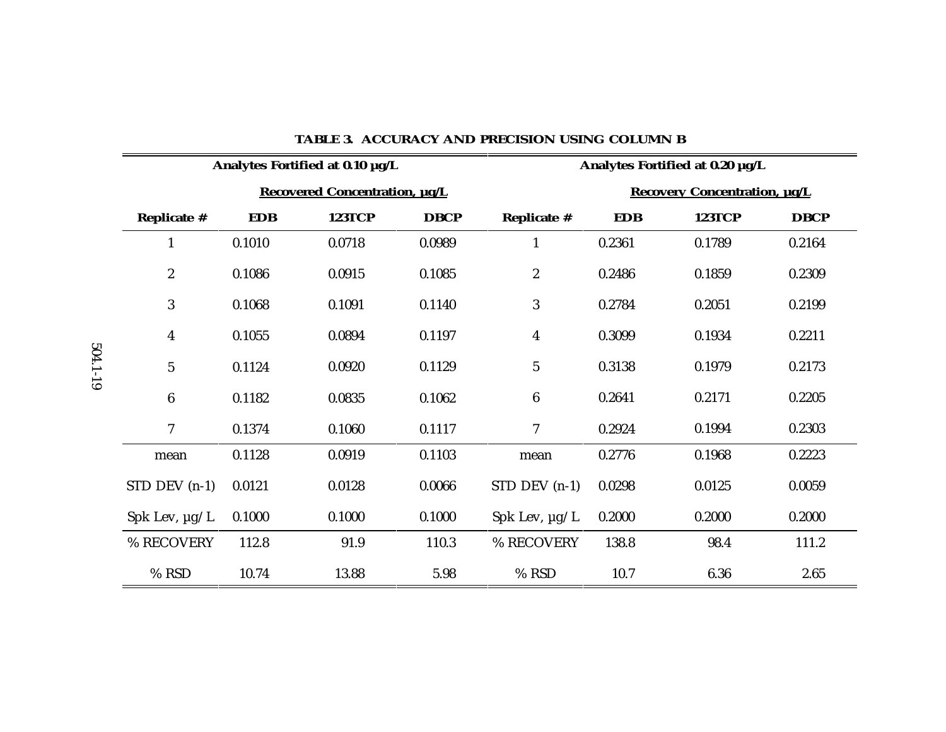| Analytes Fortified at 0.10 µg/L |            |               |             | Analytes Fortified at 0.20 µg/L |            |               |             |
|---------------------------------|------------|---------------|-------------|---------------------------------|------------|---------------|-------------|
| Recovered Concentration, µg/L   |            |               |             | Recovery Concentration, µg/L    |            |               |             |
| Replicate #                     | <b>EDB</b> | <b>123TCP</b> | <b>DBCP</b> | Replicate #                     | <b>EDB</b> | <b>123TCP</b> | <b>DBCP</b> |
| $\mathbf{1}$                    | 0.1010     | 0.0718        | 0.0989      | $\mathbf{1}$                    | 0.2361     | 0.1789        | 0.2164      |
| $\boldsymbol{2}$                | 0.1086     | 0.0915        | 0.1085      | $\boldsymbol{2}$                | 0.2486     | 0.1859        | 0.2309      |
| 3                               | 0.1068     | 0.1091        | 0.1140      | 3                               | 0.2784     | 0.2051        | 0.2199      |
| $\overline{\mathbf{4}}$         | 0.1055     | 0.0894        | 0.1197      | $\overline{\mathbf{4}}$         | 0.3099     | 0.1934        | 0.2211      |
| $\mathbf 5$                     | 0.1124     | 0.0920        | 0.1129      | $\mathbf 5$                     | 0.3138     | 0.1979        | 0.2173      |
| $6\phantom{.}6$                 | 0.1182     | 0.0835        | 0.1062      | $6\phantom{.}$                  | 0.2641     | 0.2171        | 0.2205      |
| 7                               | 0.1374     | 0.1060        | 0.1117      | 7                               | 0.2924     | 0.1994        | 0.2303      |
| mean                            | 0.1128     | 0.0919        | 0.1103      | mean                            | 0.2776     | 0.1968        | 0.2223      |
| $STD$ DEV $(n-1)$               | 0.0121     | 0.0128        | 0.0066      | $STD$ DEV $(n-1)$               | 0.0298     | 0.0125        | 0.0059      |
| Spk Lev, $\mu$ g/L              | 0.1000     | 0.1000        | 0.1000      | Spk Lev, $\mu$ g/L              | 0.2000     | 0.2000        | 0.2000      |
| % RECOVERY                      | 112.8      | 91.9          | 110.3       | % RECOVERY                      | 138.8      | 98.4          | 111.2       |
| % RSD                           | 10.74      | 13.88         | 5.98        | % RSD                           | 10.7       | 6.36          | 2.65        |

#### **TABLE 3. ACCURACY AND PRECISION USING COLUMN B**